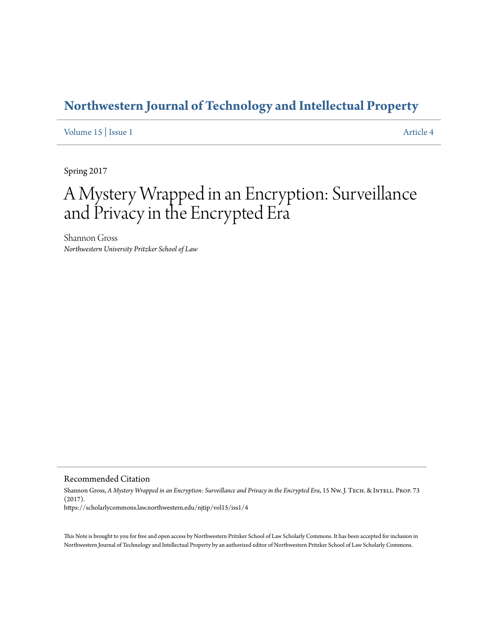## **[Northwestern Journal of Technology and Intellectual Property](https://scholarlycommons.law.northwestern.edu/njtip)**

[Volume 15](https://scholarlycommons.law.northwestern.edu/njtip/vol15) | [Issue 1](https://scholarlycommons.law.northwestern.edu/njtip/vol15/iss1) [Article 4](https://scholarlycommons.law.northwestern.edu/njtip/vol15/iss1/4)

Spring 2017

# A Mystery Wrapped in an Encryption: Surveillance and Privacy in the Encrypted Era

Shannon Gross *Northwestern University Pritzker School of Law*

Recommended Citation

Shannon Gross, *A Mystery Wrapped in an Encryption: Surveillance and Privacy in the Encrypted Era*, 15 Nw. J. TECH. & INTELL. PROP. 73 (2017). https://scholarlycommons.law.northwestern.edu/njtip/vol15/iss1/4

This Note is brought to you for free and open access by Northwestern Pritzker School of Law Scholarly Commons. It has been accepted for inclusion in Northwestern Journal of Technology and Intellectual Property by an authorized editor of Northwestern Pritzker School of Law Scholarly Commons.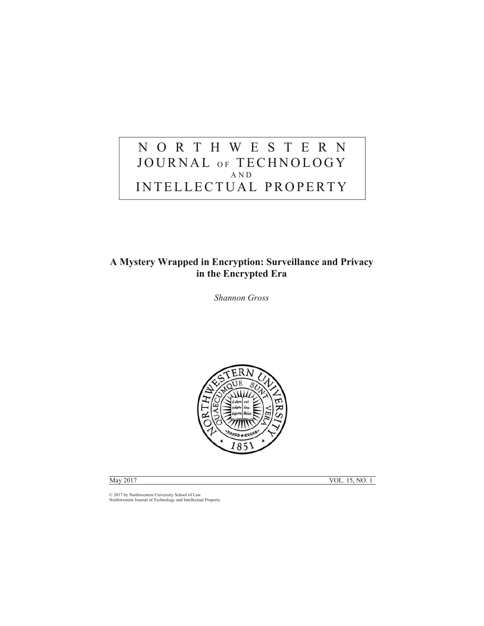### NORTHWESTERN JOURNAL OF TECHNOLOGY AND INTELLECTUAL PROPERTY

### **A Mystery Wrapped in Encryption: Surveillance and Privacy in the Encrypted Era**

*Shannon Gross* 



May 2017 VOL. 15, NO. 1

© 2017 by Northwestern University School of Law Northwestern Journal of Technology and Intellectual Property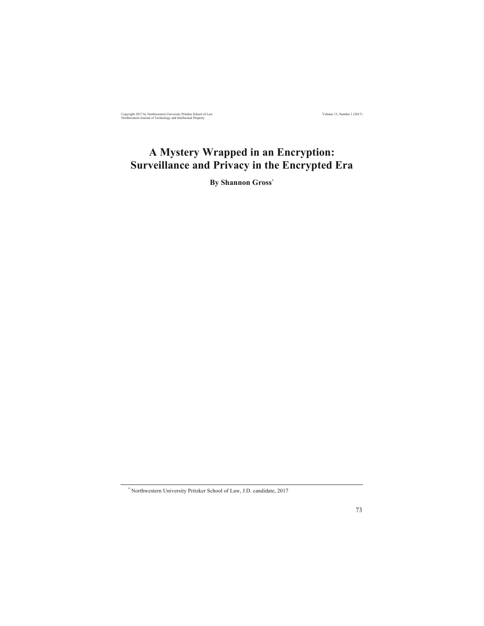Copyright 2017 by Northwestern University Pritzker School of Law Volume 15, Number 1 (2017) Volume 15, Number 1 (2017) Volume 15, Number 1 (2017) Copyright Controllectual Property

### **A Mystery Wrapped in an Encryption: Surveillance and Privacy in the Encrypted Era**

**By Shannon Gross\***

<sup>\*</sup> Northwestern University Pritzker School of Law, J.D. candidate, 2017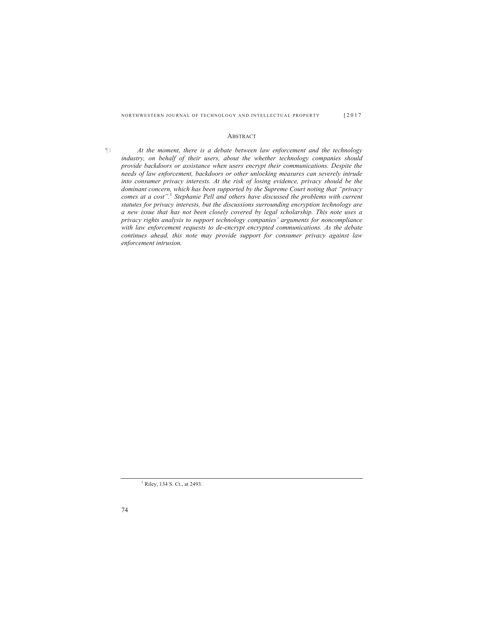#### ABSTRACT

¶1 *At the moment, there is a debate between law enforcement and the technology industry, on behalf of their users, about the whether technology companies should provide backdoors or assistance when users encrypt their communications. Despite the needs of law enforcement, backdoors or other unlocking measures can severely intrude into consumer privacy interests. At the risk of losing evidence, privacy should be the dominant concern, which has been supported by the Supreme Court noting that "privacy comes at a cost".*<sup>1</sup> *Stephanie Pell and others have discussed the problems with current statutes for privacy interests, but the discussions surrounding encryption technology are a new issue that has not been closely covered by legal scholarship. This note uses a privacy rights analysis to support technology companies' arguments for noncompliance with law enforcement requests to de-encrypt encrypted communications. As the debate continues ahead, this note may provide support for consumer privacy against law enforcement intrusion.* 

<sup>1</sup> Riley, 134 S. Ct., at 2493.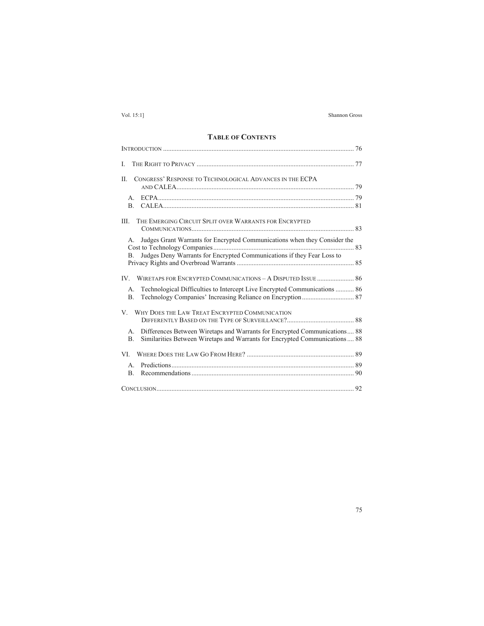### **TABLE OF CONTENTS**

| L                                                                                                                                                                                |  |
|----------------------------------------------------------------------------------------------------------------------------------------------------------------------------------|--|
| CONGRESS' RESPONSE TO TECHNOLOGICAL ADVANCES IN THE ECPA<br>П.                                                                                                                   |  |
| $\mathsf{A}$ .<br>B <sub>1</sub>                                                                                                                                                 |  |
| THE EMERGING CIRCUIT SPLIT OVER WARRANTS FOR ENCRYPTED<br>III.                                                                                                                   |  |
| Judges Grant Warrants for Encrypted Communications when they Consider the<br>$A_{\cdot}$                                                                                         |  |
| Judges Deny Warrants for Encrypted Communications if they Fear Loss to<br>B.                                                                                                     |  |
|                                                                                                                                                                                  |  |
| Technological Difficulties to Intercept Live Encrypted Communications  86<br>$A_{-}$<br>B <sub>1</sub>                                                                           |  |
| WHY DOES THE LAW TREAT ENCRYPTED COMMUNICATION<br>V                                                                                                                              |  |
| Differences Between Wiretaps and Warrants for Encrypted Communications 88<br>А.<br>Similarities Between Wiretaps and Warrants for Encrypted Communications  88<br>B <sub>1</sub> |  |
|                                                                                                                                                                                  |  |
| $\mathsf{A}$<br>B <sub>1</sub>                                                                                                                                                   |  |
|                                                                                                                                                                                  |  |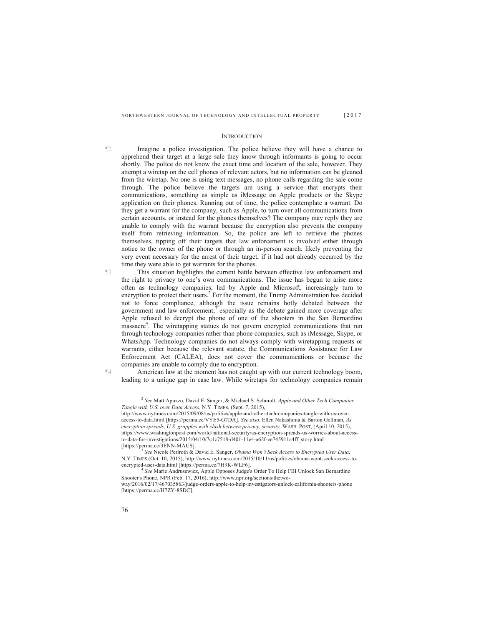#### **INTRODUCTION**

- ¶2 Imagine a police investigation. The police believe they will have a chance to apprehend their target at a large sale they know through informants is going to occur shortly. The police do not know the exact time and location of the sale, however. They attempt a wiretap on the cell phones of relevant actors, but no information can be gleaned from the wiretap. No one is using text messages, no phone calls regarding the sale come through. The police believe the targets are using a service that encrypts their communications, something as simple as iMessage on Apple products or the Skype application on their phones. Running out of time, the police contemplate a warrant. Do they get a warrant for the company, such as Apple, to turn over all communications from certain accounts, or instead for the phones themselves? The company may reply they are unable to comply with the warrant because the encryption also prevents the company itself from retrieving information. So, the police are left to retrieve the phones themselves, tipping off their targets that law enforcement is involved either through notice to the owner of the phone or through an in-person search; likely preventing the very event necessary for the arrest of their target, if it had not already occurred by the time they were able to get warrants for the phones.
- ¶3 This situation highlights the current battle between effective law enforcement and the right to privacy to one's own communications. The issue has begun to arise more often as technology companies, led by Apple and Microsoft, increasingly turn to encryption to protect their users.<sup>2</sup> For the moment, the Trump Administration has decided not to force compliance, although the issue remains hotly debated between the government and law enforcement, $3$  especially as the debate gained more coverage after Apple refused to decrypt the phone of one of the shooters in the San Bernardino massacre<sup>4</sup>. The wiretapping statues do not govern encrypted communications that run through technology companies rather than phone companies, such as iMessage, Skype, or WhatsApp. Technology companies do not always comply with wiretapping requests or warrants, either because the relevant statute, the Communications Assistance for Law Enforcement Act (CALEA), does not cover the communications or because the companies are unable to comply due to encryption.

¶4 American law at the moment has not caught up with our current technology boom, leading to a unique gap in case law. While wiretaps for technology companies remain

<sup>4</sup> See Marie Andrusewicz, Apple Opposes Judge's Order To Help FBI Unlock San Bernardino Shooter's Phone, NPR (Feb. 17, 2016), http://www.npr.org/sections/thetwo-

<sup>2</sup> *See* Matt Apuzzo, David E. Sanger, & Michael S. Schmidt, *Apple and Other Tech Companies Tangle with U.S. over Data Access*, N.Y. TIMES, (Sept. 7, 2015),

http://www.nytimes.com/2015/09/08/us/politics/apple-and-other-tech-companies-tangle-with-us-overaccess-to-data.html [https://perma.cc/VYE5-G7DA]. *See also*, Ellen Nakashima & Barton Gellman, *As* encryption spreads, U.S. grapples with clash between privacy, security, WASH. POST, (April 10, 2015), https://www.washingtonpost.com/world/national-security/as-encryption-spreads-us-worries-about-accessto-data-for-investigations/2015/04/10/7c1c7518-d401-11e4-a62f-ee745911a4ff\_story.html

<sup>[</sup>https://perma.cc/3ENN-MAUS]. 3 *See* Nicole Perlroth & David E. Sanger, *Obama Won't Seek Access to Encrypted User Data,*  N.Y. TIMES (Oct. 10, 2015), http://www.nytimes.com/2015/10/11/us/politics/obama-wont-seek-access-to-

way/2016/02/17/467035863/judge-orders-apple-to-help-investigators-unlock-california-shooters-phone [https://perma.cc/H7ZY-8SDC].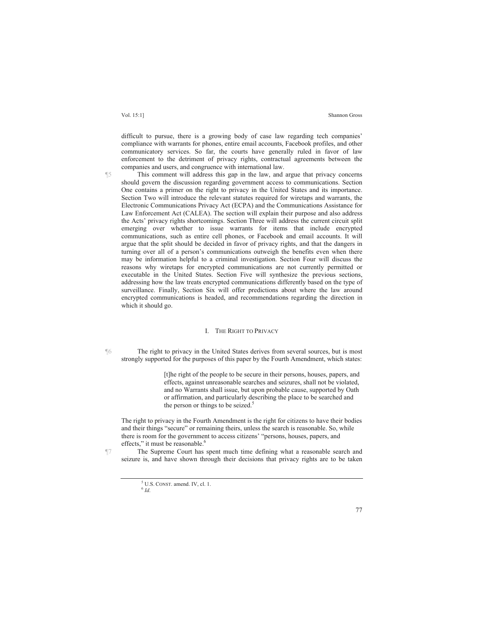difficult to pursue, there is a growing body of case law regarding tech companies' compliance with warrants for phones, entire email accounts, Facebook profiles, and other communicatory services. So far, the courts have generally ruled in favor of law enforcement to the detriment of privacy rights, contractual agreements between the companies and users, and congruence with international law.

¶5 This comment will address this gap in the law, and argue that privacy concerns should govern the discussion regarding government access to communications. Section One contains a primer on the right to privacy in the United States and its importance. Section Two will introduce the relevant statutes required for wiretaps and warrants, the Electronic Communications Privacy Act (ECPA) and the Communications Assistance for Law Enforcement Act (CALEA). The section will explain their purpose and also address the Acts' privacy rights shortcomings. Section Three will address the current circuit split emerging over whether to issue warrants for items that include encrypted communications, such as entire cell phones, or Facebook and email accounts. It will argue that the split should be decided in favor of privacy rights, and that the dangers in turning over all of a person's communications outweigh the benefits even when there may be information helpful to a criminal investigation. Section Four will discuss the reasons why wiretaps for encrypted communications are not currently permitted or executable in the United States. Section Five will synthesize the previous sections, addressing how the law treats encrypted communications differently based on the type of surveillance. Finally, Section Six will offer predictions about where the law around encrypted communications is headed, and recommendations regarding the direction in which it should go.

#### I. THE RIGHT TO PRIVACY

¶6 The right to privacy in the United States derives from several sources, but is most strongly supported for the purposes of this paper by the Fourth Amendment, which states:

> [t]he right of the people to be secure in their persons, houses, papers, and effects, against unreasonable searches and seizures, shall not be violated, and no Warrants shall issue, but upon probable cause, supported by Oath or affirmation, and particularly describing the place to be searched and the person or things to be seized. $5$

The right to privacy in the Fourth Amendment is the right for citizens to have their bodies and their things "secure" or remaining theirs, unless the search is reasonable. So, while there is room for the government to access citizens' "persons, houses, papers, and effects," it must be reasonable.<sup>6</sup>

¶7 The Supreme Court has spent much time defining what a reasonable search and seizure is, and have shown through their decisions that privacy rights are to be taken

 $^{5}$  U.S. CONST. amend. IV, cl. 1.  $^{6}$  *Id.*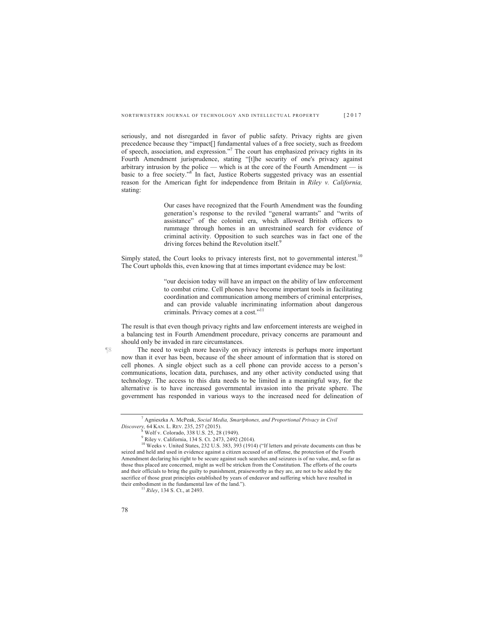seriously, and not disregarded in favor of public safety. Privacy rights are given precedence because they "impact[] fundamental values of a free society, such as freedom of speech, association, and expression."<sup>7</sup> The court has emphasized privacy rights in its Fourth Amendment jurisprudence, stating "[t]he security of one's privacy against arbitrary intrusion by the police — which is at the core of the Fourth Amendment — is basic to a free society."<sup>8</sup> In fact, Justice Roberts suggested privacy was an essential reason for the American fight for independence from Britain in *Riley v. California,*  stating:

> Our cases have recognized that the Fourth Amendment was the founding generation's response to the reviled "general warrants" and "writs of assistance" of the colonial era, which allowed British officers to rummage through homes in an unrestrained search for evidence of criminal activity. Opposition to such searches was in fact one of the driving forces behind the Revolution itself.<sup>9</sup>

Simply stated, the Court looks to privacy interests first, not to governmental interest.<sup>10</sup> The Court upholds this, even knowing that at times important evidence may be lost:

> "our decision today will have an impact on the ability of law enforcement to combat crime. Cell phones have become important tools in facilitating coordination and communication among members of criminal enterprises, and can provide valuable incriminating information about dangerous criminals. Privacy comes at a cost."11

The result is that even though privacy rights and law enforcement interests are weighed in a balancing test in Fourth Amendment procedure, privacy concerns are paramount and should only be invaded in rare circumstances.

¶8 The need to weigh more heavily on privacy interests is perhaps more important now than it ever has been, because of the sheer amount of information that is stored on cell phones. A single object such as a cell phone can provide access to a person's communications, location data, purchases, and any other activity conducted using that technology. The access to this data needs to be limited in a meaningful way, for the alternative is to have increased governmental invasion into the private sphere. The government has responded in various ways to the increased need for delineation of

<sup>7</sup> Agnieszka A. McPeak, *Social Media, Smartphones, and Proportional Privacy in Civil Discovery,* 64 KAN. L. REV. 235, 257 (2015).<br>
<sup>8</sup> Wolf v. Colorado, 338 U.S. 25, 28 (1949).

<sup>9</sup> Riley v. California, 134 S. Ct. 2473, 2492 (2014).

<sup>&</sup>lt;sup>10</sup> Weeks v. United States, 232 U.S. 383, 393 (1914) ("If letters and private documents can thus be seized and held and used in evidence against a citizen accused of an offense, the protection of the Fourth Amendment declaring his right to be secure against such searches and seizures is of no value, and, so far as those thus placed are concerned, might as well be stricken from the Constitution. The efforts of the courts and their officials to bring the guilty to punishment, praiseworthy as they are, are not to be aided by the sacrifice of those great principles established by years of endeavor and suffering which have resulted in their embodiment in the fundamental law of the land."). 11 *Riley*, 134 S. Ct., at 2493.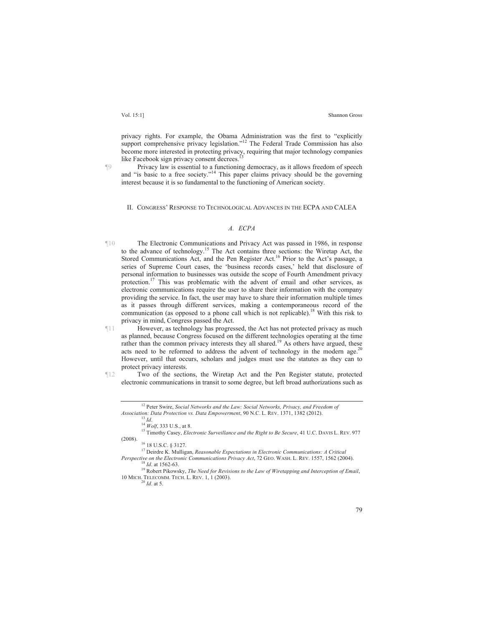privacy rights. For example, the Obama Administration was the first to "explicitly support comprehensive privacy legislation."<sup>12</sup> The Federal Trade Commission has also become more interested in protecting privacy, requiring that major technology companies like Facebook sign privacy consent decrees.<sup>1</sup>

¶9 Privacy law is essential to a functioning democracy, as it allows freedom of speech and "is basic to a free society."<sup>14</sup> This paper claims privacy should be the governing interest because it is so fundamental to the functioning of American society.

II. CONGRESS' RESPONSE TO TECHNOLOGICAL ADVANCES IN THE ECPA AND CALEA

#### *A. ECPA*

- ¶10 The Electronic Communications and Privacy Act was passed in 1986, in response to the advance of technology.15 The Act contains three sections: the Wiretap Act, the Stored Communications Act, and the Pen Register Act.<sup>16</sup> Prior to the Act's passage, a series of Supreme Court cases, the 'business records cases,' held that disclosure of personal information to businesses was outside the scope of Fourth Amendment privacy protection.<sup>17</sup> This was problematic with the advent of email and other services, as electronic communications require the user to share their information with the company providing the service. In fact, the user may have to share their information multiple times as it passes through different services, making a contemporaneous record of the communication (as opposed to a phone call which is not replicable).<sup>18</sup> With this risk to privacy in mind, Congress passed the Act.
- ¶11 However, as technology has progressed, the Act has not protected privacy as much as planned, because Congress focused on the different technologies operating at the time rather than the common privacy interests they all shared.<sup>19</sup> As others have argued, these acts need to be reformed to address the advent of technology in the modern age.<sup>2</sup> However, until that occurs, scholars and judges must use the statutes as they can to protect privacy interests.
- ¶12 Two of the sections, the Wiretap Act and the Pen Register statute, protected electronic communications in transit to some degree, but left broad authorizations such as

<sup>&</sup>lt;sup>12</sup> Peter Swire, *Social Networks and the Law: Social Networks, Privacy, and Freedom of Association: Data Protection vs. Data Empowerment, 90 N.C. L. REV. 1371, 1382 (2012).* 

<sup>&</sup>lt;sup>13</sup> *Id.*<br><sup>14</sup> *Wolf*, 333 U.S., at 8.<br><sup>15</sup> Timothy Casey, *Electronic Surveillance and the Right to Be Secure*, 41 U.C. DAVIS L. REV. 977 (2008).

 $16$  18 U.S.C. § 3127.

<sup>17</sup> Deirdre K. Mulligan, *Reasonable Expectations in Electronic Communications: A Critical* 

Perspective on the Electronic Communications Privacy Act, 72 GEO. WASH. L. REV. 1557, 1562 (2004).<br><sup>18</sup> *Id.* at 1562-63.<br><sup>19</sup> Robert Pikowsky, *The Need for Revisions to the Law of Wiretapping and Interception of Email,* 

<sup>10</sup> MICH. TELECOMM. TECH. L. REV. 1, 1 (2003). 20 *Id*. at 5.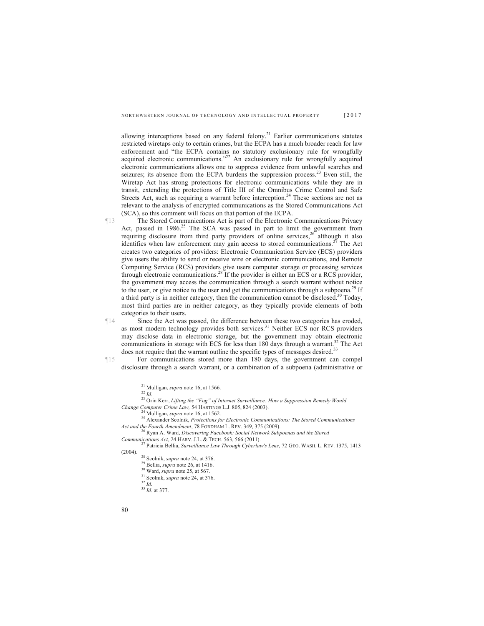allowing interceptions based on any federal felony.<sup>21</sup> Earlier communications statutes restricted wiretaps only to certain crimes, but the ECPA has a much broader reach for law enforcement and "the ECPA contains no statutory exclusionary rule for wrongfully acquired electronic communications."<sup>22</sup> An exclusionary rule for wrongfully acquired electronic communications allows one to suppress evidence from unlawful searches and seizures; its absence from the ECPA burdens the suppression process.<sup>23</sup> Even still, the Wiretap Act has strong protections for electronic communications while they are in transit, extending the protections of Title III of the Omnibus Crime Control and Safe Streets Act, such as requiring a warrant before interception.<sup>24</sup> These sections are not as relevant to the analysis of encrypted communications as the Stored Communications Act (SCA), so this comment will focus on that portion of the ECPA.

- ¶13 The Stored Communications Act is part of the Electronic Communications Privacy Act, passed in 1986.<sup>25</sup> The SCA was passed in part to limit the government from requiring disclosure from third party providers of online services,  $26$  although it also identifies when law enforcement may gain access to stored communications.<sup>27</sup> The Act creates two categories of providers: Electronic Communication Service (ECS) providers give users the ability to send or receive wire or electronic communications, and Remote Computing Service (RCS) providers give users computer storage or processing services through electronic communications.<sup>28</sup> If the provider is either an ECS or a RCS provider, the government may access the communication through a search warrant without notice to the user, or give notice to the user and get the communications through a subpoena.<sup>29</sup> If a third party is in neither category, then the communication cannot be disclosed.<sup>30</sup> Today, most third parties are in neither category, as they typically provide elements of both categories to their users.
- ¶14 Since the Act was passed, the difference between these two categories has eroded, as most modern technology provides both services.<sup>31</sup> Neither ECS nor RCS providers may disclose data in electronic storage, but the government may obtain electronic communications in storage with ECS for less than 180 days through a warrant.<sup>32</sup> The Act does not require that the warrant outline the specific types of messages desired.<sup>33</sup>

¶15 For communications stored more than 180 days, the government can compel disclosure through a search warrant, or a combination of a subpoena (administrative or

<sup>&</sup>lt;sup>21</sup> Mulligan, *supra* note 16, at 1566.<br><sup>22</sup> *Id.* <sup>23</sup> Orin Kerr, *Lifting the "Fog" of Internet Surveillance: How a Suppression Remedy Would Change Computer Crime Law, 54 HASTINGS L.J. 805, 824 (2003).* 

<sup>&</sup>lt;sup>24</sup> Mulligan, *supra* note 16, at 1562.<br><sup>25</sup> Alexander Scolnik, *Protections for Electronic Communications: The Stored Communications*<br>*Act and the Fourth Amendment*, 78 FORDHAM L. REV. 349, 375 (2009).

<sup>&</sup>lt;sup>26</sup> Ryan A. Ward, *Discovering Facebook: Social Network Subpoenas and the Stored Communications Act.* 24 HARV. J.L. & TECH. 563, 566 (2011).

*Communications Act*, 24 HARV. J.L. & TECH. 563, 566 (2011). 27 Patricia Bellia, *Surveillance Law Through Cyberlaw's Lens*, 72 GEO. WASH. L. REV. 1375, 1413 (2004). 28 Scolnik, *supra* note 24, at 376. 29 Bellia, *supra* note 26, at 1416. 30 Ward, *supra* note 25, at 567. 31 Scolnik, *supra* note 24, at 376. 32 *Id*. <sup>33</sup> *Id*. at 377.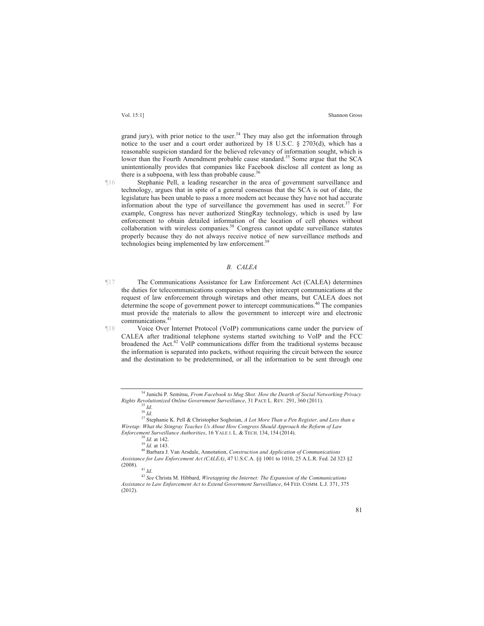grand jury), with prior notice to the user.<sup>34</sup> They may also get the information through notice to the user and a court order authorized by 18 U.S.C. § 2703(d), which has a reasonable suspicion standard for the believed relevancy of information sought, which is lower than the Fourth Amendment probable cause standard.<sup>35</sup> Some argue that the SCA unintentionally provides that companies like Facebook disclose all content as long as there is a subpoena, with less than probable cause.<sup>36</sup>

¶16 Stephanie Pell, a leading researcher in the area of government surveillance and technology, argues that in spite of a general consensus that the SCA is out of date, the legislature has been unable to pass a more modern act because they have not had accurate information about the type of surveillance the government has used in secret.37 For example, Congress has never authorized StingRay technology, which is used by law enforcement to obtain detailed information of the location of cell phones without collaboration with wireless companies.<sup>38</sup> Congress cannot update surveillance statutes properly because they do not always receive notice of new surveillance methods and technologies being implemented by law enforcement.<sup>39</sup>

#### *B. CALEA*

¶17 The Communications Assistance for Law Enforcement Act (CALEA) determines the duties for telecommunications companies when they intercept communications at the request of law enforcement through wiretaps and other means, but CALEA does not determine the scope of government power to intercept communications.<sup>40</sup> The companies must provide the materials to allow the government to intercept wire and electronic communications.41

¶18 Voice Over Internet Protocol (VoIP) communications came under the purview of CALEA after traditional telephone systems started switching to VoIP and the FCC broadened the Act.42 VoIP communications differ from the traditional systems because the information is separated into packets, without requiring the circuit between the source and the destination to be predetermined, or all the information to be sent through one

<sup>34</sup> Junichi P. Semitsu, *From Facebook to Mug Shot: How the Dearth of Social Networking Privacy* 

<sup>&</sup>lt;sup>35</sup> *Id. Andle Government Surpeillance*, 3<sup>5</sup> *Id.* 36 *Id.* 36 *Id.* 36 *Id.* 37 Stephanie K. Pell & Christopher Soghoian, *A Lot More Than a Pen Register, and Less than a* <sup>37</sup> *Wiretap: What the Stingray Teaches Us About How Congress Should Approach the Reform of Law* 

<sup>&</sup>lt;sup>38</sup> *Id.* at 142. <sup>39</sup><br><sup>39</sup> *Id.* at 143. <br><sup>40</sup> Barbara J. Van Arsdale, Annotation, *Construction and Application of Communications Assistance for Law Enforcement Act (CALEA)*, 47 U.S.C.A. §§ 1001 to 1010, 25 A.L.R. Fed. 2d 323 §2

<sup>&</sup>lt;sup>41</sup> *Id.* 42 *See* Christa M. Hibbard, *Wiretapping the Internet: The Expansion of the Communications Assistance to Law Enforcement Act to Extend Government Surveillance*, 64 FED. COMM. L.J. 371, 375 (2012).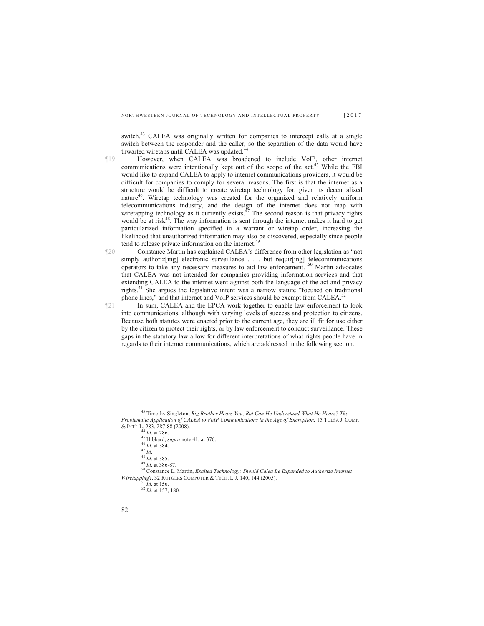switch.<sup>43</sup> CALEA was originally written for companies to intercept calls at a single switch between the responder and the caller, so the separation of the data would have thwarted wiretaps until CALEA was updated.<sup>44</sup>

- ¶19 However, when CALEA was broadened to include VoIP, other internet communications were intentionally kept out of the scope of the act.<sup>45</sup> While the FBI would like to expand CALEA to apply to internet communications providers, it would be difficult for companies to comply for several reasons. The first is that the internet as a structure would be difficult to create wiretap technology for, given its decentralized nature<sup>46</sup>. Wiretap technology was created for the organized and relatively uniform telecommunications industry, and the design of the internet does not map with wiretapping technology as it currently exists. $^{47}$  The second reason is that privacy rights would be at risk<sup>48</sup>. The way information is sent through the internet makes it hard to get particularized information specified in a warrant or wiretap order, increasing the likelihood that unauthorized information may also be discovered, especially since people tend to release private information on the internet.<sup>49</sup>
- ¶20 Constance Martin has explained CALEA's difference from other legislation as "not simply authoriz<sup>[ing]</sup> electronic surveillance . . . but requir[ing] telecommunications operators to take any necessary measures to aid law enforcement."50 Martin advocates that CALEA was not intended for companies providing information services and that extending CALEA to the internet went against both the language of the act and privacy rights.<sup>51</sup> She argues the legislative intent was a narrow statute "focused on traditional phone lines," and that internet and VoIP services should be exempt from CALEA.<sup>5</sup>
- ¶21 In sum, CALEA and the EPCA work together to enable law enforcement to look into communications, although with varying levels of success and protection to citizens. Because both statutes were enacted prior to the current age, they are ill fit for use either by the citizen to protect their rights, or by law enforcement to conduct surveillance. These gaps in the statutory law allow for different interpretations of what rights people have in regards to their internet communications, which are addressed in the following section.

<sup>45</sup> Hibbard, *supra* note 41, at 376.<br><sup>46</sup> *Id.* at 384.<br><sup>48</sup> *Id.* at 384.<br><sup>48</sup> *Id.* at 385.<br><sup>49</sup> *Id.* at 386-87.<br><sup>50</sup> Constance L. Martin, *Exalted Technology: Should Calea Be Expanded to Authorize Internet Wiretapping*?, 32 RUTGERS COMPUTER & TECH. L.J. 140, 144 (2005). <sup>51</sup> *Id.* at 156. <sup>52</sup> *Id.* at 157, 180.

<sup>43</sup> Timothy Singleton, *Big Brother Hears You, But Can He Understand What He Hears? The Problematic Application of CALEA to VoIP Communications in the Age of Encryption,* 15 TULSA J. COMP. & INT'L L. 283, 287-88 (2008).<br><sup>44</sup> Id. at 286.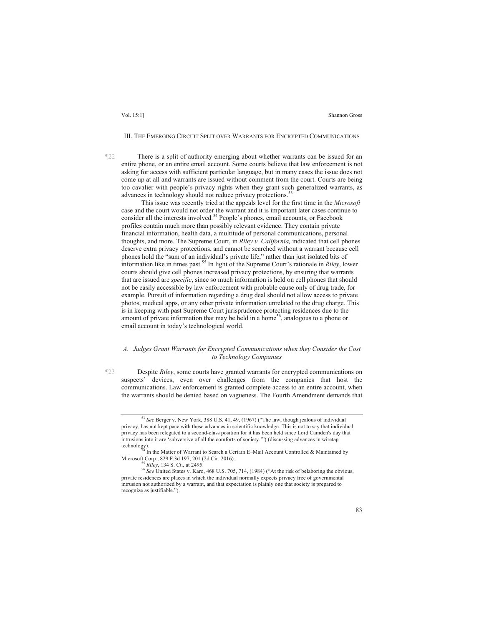#### III. THE EMERGING CIRCUIT SPLIT OVER WARRANTS FOR ENCRYPTED COMMUNICATIONS

¶22 There is a split of authority emerging about whether warrants can be issued for an entire phone, or an entire email account. Some courts believe that law enforcement is not asking for access with sufficient particular language, but in many cases the issue does not come up at all and warrants are issued without comment from the court. Courts are being too cavalier with people's privacy rights when they grant such generalized warrants, as advances in technology should not reduce privacy protections.<sup>53</sup>

 This issue was recently tried at the appeals level for the first time in the *Microsoft* case and the court would not order the warrant and it is important later cases continue to consider all the interests involved.<sup>54</sup> People's phones, email accounts, or Facebook profiles contain much more than possibly relevant evidence. They contain private financial information, health data, a multitude of personal communications, personal thoughts, and more. The Supreme Court, in *Riley v. California,* indicated that cell phones deserve extra privacy protections, and cannot be searched without a warrant because cell phones hold the "sum of an individual's private life," rather than just isolated bits of information like in times past.55 In light of the Supreme Court's rationale in *Riley*, lower courts should give cell phones increased privacy protections, by ensuring that warrants that are issued are *specific*, since so much information is held on cell phones that should not be easily accessible by law enforcement with probable cause only of drug trade, for example. Pursuit of information regarding a drug deal should not allow access to private photos, medical apps, or any other private information unrelated to the drug charge. This is in keeping with past Supreme Court jurisprudence protecting residences due to the amount of private information that may be held in a home<sup>56</sup>, analogous to a phone or email account in today's technological world.

#### *A. Judges Grant Warrants for Encrypted Communications when they Consider the Cost to Technology Companies*

¶23 Despite *Riley*, some courts have granted warrants for encrypted communications on suspects' devices, even over challenges from the companies that host the communications. Law enforcement is granted complete access to an entire account, when the warrants should be denied based on vagueness. The Fourth Amendment demands that

<sup>53</sup> *See* Berger v. New York, 388 U.S. 41, 49, (1967) ("The law, though jealous of individual privacy, has not kept pace with these advances in scientific knowledge. This is not to say that individual privacy has been relegated to a second-class position for it has been held since Lord Camden's day that intrusions into it are 'subversive of all the comforts of society.'") (discussing advances in wiretap

In the Matter of Warrant to Search a Certain E-Mail Account Controlled & Maintained by Microsoft Corp., 829 F.3d 197, 201 (2d Cir. 2016).<br><sup>55</sup> *Riley*, 134 S. Ct., at 2495.<br><sup>56</sup> *See* United States v. Karo, 468 U.S. 705, 714, (1984) ("At the risk of belaboring the obvious,

private residences are places in which the individual normally expects privacy free of governmental intrusion not authorized by a warrant, and that expectation is plainly one that society is prepared to recognize as justifiable.").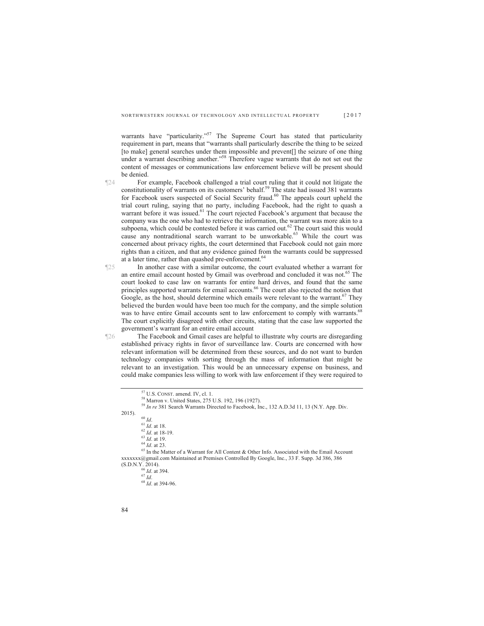warrants have "particularity."<sup>57</sup> The Supreme Court has stated that particularity requirement in part, means that "warrants shall particularly describe the thing to be seized [to make] general searches under them impossible and prevent[] the seizure of one thing under a warrant describing another."<sup>58</sup> Therefore vague warrants that do not set out the content of messages or communications law enforcement believe will be present should be denied.

¶24 For example, Facebook challenged a trial court ruling that it could not litigate the constitutionality of warrants on its customers' behalf.<sup>59</sup> The state had issued 381 warrants for Facebook users suspected of Social Security fraud.<sup>60</sup> The appeals court upheld the trial court ruling, saying that no party, including Facebook, had the right to quash a warrant before it was issued.<sup>61</sup> The court rejected Facebook's argument that because the company was the one who had to retrieve the information, the warrant was more akin to a subpoena, which could be contested before it was carried out.<sup>62</sup> The court said this would cause any nontraditional search warrant to be unworkable.<sup>63</sup> While the court was concerned about privacy rights, the court determined that Facebook could not gain more rights than a citizen, and that any evidence gained from the warrants could be suppressed at a later time, rather than quashed pre-enforcement.<sup>64</sup>

¶25 In another case with a similar outcome, the court evaluated whether a warrant for an entire email account hosted by Gmail was overbroad and concluded it was not.<sup>65</sup> The court looked to case law on warrants for entire hard drives, and found that the same principles supported warrants for email accounts.<sup>66</sup> The court also rejected the notion that Google, as the host, should determine which emails were relevant to the warrant.<sup>67</sup> They believed the burden would have been too much for the company, and the simple solution was to have entire Gmail accounts sent to law enforcement to comply with warrants.<sup>6</sup> The court explicitly disagreed with other circuits, stating that the case law supported the government's warrant for an entire email account

¶26 The Facebook and Gmail cases are helpful to illustrate why courts are disregarding established privacy rights in favor of surveillance law. Courts are concerned with how relevant information will be determined from these sources, and do not want to burden technology companies with sorting through the mass of information that might be relevant to an investigation. This would be an unnecessary expense on business, and could make companies less willing to work with law enforcement if they were required to

 $57 \text{ U.S.}$  CONST. amend. IV, cl. 1.<br> $58 \text{ Marron v.}$  United States, 275 U.S. 192, 196 (1927).

<sup>&</sup>lt;sup>59</sup> *In re* 381 Search Warrants Directed to Facebook, Inc., 132 A.D.3d 11, 13 (N.Y. App. Div. 2015).<br>
60 *Id.*<br>
62 *Id.* at 18-19.<br>
62 *Id.* at 18-19.<br>
64 *Id.* at 23.<br>
65 In the Matter of a Warrant for All Content & Other Info. Associated with the Email Account

xxxxxxx@gmail.com Maintained at Premises Controlled By Google, Inc., 33 F. Supp. 3d 386, 386 (S.D.N.Y. 2014). 66 *Id*. at 394. 67 *Id*. <sup>68</sup> *Id*. at 394-96.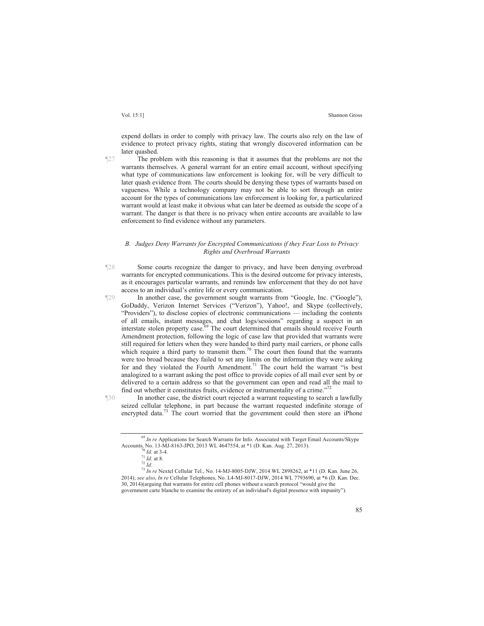expend dollars in order to comply with privacy law. The courts also rely on the law of evidence to protect privacy rights, stating that wrongly discovered information can be later quashed.

¶27 The problem with this reasoning is that it assumes that the problems are not the

warrants themselves. A general warrant for an entire email account, without specifying what type of communications law enforcement is looking for, will be very difficult to later quash evidence from. The courts should be denying these types of warrants based on vagueness. While a technology company may not be able to sort through an entire account for the types of communications law enforcement is looking for, a particularized warrant would at least make it obvious what can later be deemed as outside the scope of a warrant. The danger is that there is no privacy when entire accounts are available to law enforcement to find evidence without any parameters.

#### *B. Judges Deny Warrants for Encrypted Communications if they Fear Loss to Privacy Rights and Overbroad Warrants*

- ¶28 Some courts recognize the danger to privacy, and have been denying overbroad warrants for encrypted communications. This is the desired outcome for privacy interests, as it encourages particular warrants, and reminds law enforcement that they do not have access to an individual's entire life or every communication.
- ¶29 In another case, the government sought warrants from "Google, Inc. ("Google"), GoDaddy, Verizon Internet Services ("Verizon"), Yahoo!, and Skype (collectively, "Providers"), to disclose copies of electronic communications — including the contents of all emails, instant messages, and chat logs/sessions" regarding a suspect in an interstate stolen property case.<sup>69</sup> The court determined that emails should receive Fourth Amendment protection, following the logic of case law that provided that warrants were still required for letters when they were handed to third party mail carriers, or phone calls which require a third party to transmit them.<sup>70</sup> The court then found that the warrants were too broad because they failed to set any limits on the information they were asking for and they violated the Fourth Amendment.<sup>71</sup> The court held the warrant "is best analogized to a warrant asking the post office to provide copies of all mail ever sent by or delivered to a certain address so that the government can open and read all the mail to find out whether it constitutes fruits, evidence or instrumentality of a crime."72

¶30 In another case, the district court rejected a warrant requesting to search a lawfully seized cellular telephone, in part because the warrant requested indefinite storage of encrypted data.<sup>73</sup> The court worried that the government could then store an iPhone

85

<sup>&</sup>lt;sup>69</sup> In re Applications for Search Warrants for Info. Associated with Target Email Accounts/Skype

Accounts, No. 13-MJ-8163-JPO, 2013 WL 4647554, at \*1 (D. Kan. Aug. 27, 2013).<br>
<sup>71</sup> *Id.* at 3-4.<br>
<sup>71</sup> *Id.* at 8.<br>
<sup>71</sup> *Id.* at 8.<br>
<sup>71</sup> *Id.* at 8.<br>
<sup>71</sup> *In re* Nextel Cellular Tel., No. 14-MJ-8005-DJW, 2014 WL 28982 2014); *see also*, *In re* Cellular Telephones, No. L4-MJ-8017-DJW, 2014 WL 7793690, at \*6 (D. Kan. Dec. 30, 2014)(arguing that warrants for entire cell phones without a search protocol "would give the government carte blanche to examine the entirety of an individual's digital presence with impunity").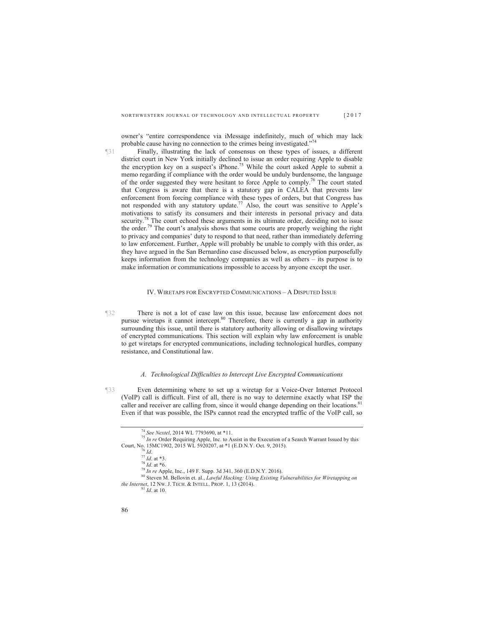owner's "entire correspondence via iMessage indefinitely, much of which may lack probable cause having no connection to the crimes being investigated."<sup>74</sup>

¶31 Finally, illustrating the lack of consensus on these types of issues, a different district court in New York initially declined to issue an order requiring Apple to disable the encryption key on a suspect's iPhone.<sup>75</sup> While the court asked Apple to submit a memo regarding if compliance with the order would be unduly burdensome, the language of the order suggested they were hesitant to force Apple to comply.76 The court stated that Congress is aware that there is a statutory gap in CALEA that prevents law enforcement from forcing compliance with these types of orders, but that Congress has not responded with any statutory update.<sup>77</sup> Also, the court was sensitive to Apple's motivations to satisfy its consumers and their interests in personal privacy and data security.<sup>78</sup> The court echoed these arguments in its ultimate order, deciding not to issue the order.<sup>79</sup> The court's analysis shows that some courts are properly weighing the right to privacy and companies' duty to respond to that need, rather than immediately deferring to law enforcement. Further, Apple will probably be unable to comply with this order, as they have argued in the San Bernardino case discussed below, as encryption purposefully keeps information from the technology companies as well as others – its purpose is to make information or communications impossible to access by anyone except the user.

#### IV. WIRETAPS FOR ENCRYPTED COMMUNICATIONS –ADISPUTED ISSUE

¶32 There is not a lot of case law on this issue, because law enforcement does not pursue wiretaps it cannot intercept.<sup>80</sup> Therefore, there is currently a gap in authority surrounding this issue, until there is statutory authority allowing or disallowing wiretaps of encrypted communications. This section will explain why law enforcement is unable to get wiretaps for encrypted communications, including technological hurdles, company resistance, and Constitutional law.

#### *A. Technological Difficulties to Intercept Live Encrypted Communications*

¶33 Even determining where to set up a wiretap for a Voice-Over Internet Protocol (VoIP) call is difficult. First of all, there is no way to determine exactly what ISP the caller and receiver are calling from, since it would change depending on their locations.<sup>81</sup> Even if that was possible, the ISPs cannot read the encrypted traffic of the VoIP call, so

<sup>&</sup>lt;sup>74</sup> See Nextel, 2014 WL 7793690, at \*11.<br><sup>75</sup> *In re* Order Requiring Apple, Inc. to Assist in the Execution of a Search Warrant Issued by this

Court, No. 15MC1902, 2015 WL 5920207, at \*1 (E.D.N.Y. Oct. 9, 2015).<br>
<sup>77</sup> *Id.*<br>
<sup>77</sup> *Id.* at \*3.<br>
<sup>78</sup> *Id.* at \*6.<br>
<sup>79</sup> *In re* Apple, Inc., 149 F. Supp. 3d 341, 360 (E.D.N.Y. 2016).<br>
<sup>80</sup> Steven M. Bellovin et. al., *the Internet*, 12 NW. J. TECH. & INTELL. PROP. 1, 13 (2014). <sup>81</sup> *Id.* at 10.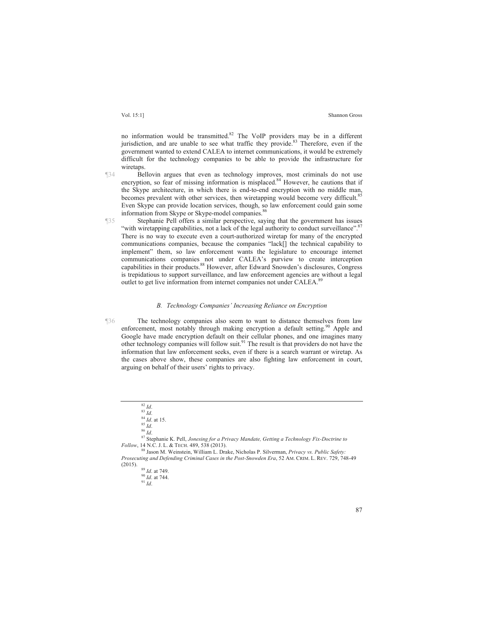no information would be transmitted.<sup>82</sup> The VoIP providers may be in a different jurisdiction, and are unable to see what traffic they provide. $83$  Therefore, even if the government wanted to extend CALEA to internet communications, it would be extremely difficult for the technology companies to be able to provide the infrastructure for wiretaps.

¶34 Bellovin argues that even as technology improves, most criminals do not use encryption, so fear of missing information is misplaced.<sup>84</sup> However, he cautions that if the Skype architecture, in which there is end-to-end encryption with no middle man, becomes prevalent with other services, then wiretapping would become very difficult.<sup>85</sup> Even Skype can provide location services, though, so law enforcement could gain some information from Skype or Skype-model companies.

¶35 Stephanie Pell offers a similar perspective, saying that the government has issues "with wiretapping capabilities, not a lack of the legal authority to conduct surveillance".<sup>87</sup> There is no way to execute even a court-authorized wiretap for many of the encrypted communications companies, because the companies "lack[] the technical capability to implement" them, so law enforcement wants the legislature to encourage internet communications companies not under CALEA's purview to create interception capabilities in their products.<sup>88</sup> However, after Edward Snowden's disclosures, Congress is trepidatious to support surveillance, and law enforcement agencies are without a legal outlet to get live information from internet companies not under CALEA.<sup>89</sup>

#### *B. Technology Companies' Increasing Reliance on Encryption*

¶36 The technology companies also seem to want to distance themselves from law enforcement, most notably through making encryption a default setting.<sup>90</sup> Apple and Google have made encryption default on their cellular phones, and one imagines many other technology companies will follow suit.91 The result is that providers do not have the information that law enforcement seeks, even if there is a search warrant or wiretap. As the cases above show, these companies are also fighting law enforcement in court, arguing on behalf of their users' rights to privacy.

<sup>82</sup> *Id.* 83 *Id.*<br>
84 *Id.* 86 *Id.*<br>
85 *Id.* 86 *Id.* 86 *Id.* 86 *Id.* 87 Stephanie K. Pell, *Jonesing for a Privacy Mandate, Getting a Technology Fix-Doctrine to Follow*, 14 N.C. J. L. & TECH. 489, 538 (2013). 88 Jason M. Weinstein, William L. Drake, Nicholas P. Silverman, *Privacy vs. Public Safety:* 

*Prosecuting and Defending Criminal Cases in the Post-Snowden Era*, 52 AM. CRIM. L. REV. 729, 748-49 (2015). 89 *Id*. at 749. <sup>90</sup> *Id*. at 744. 91 *Id*.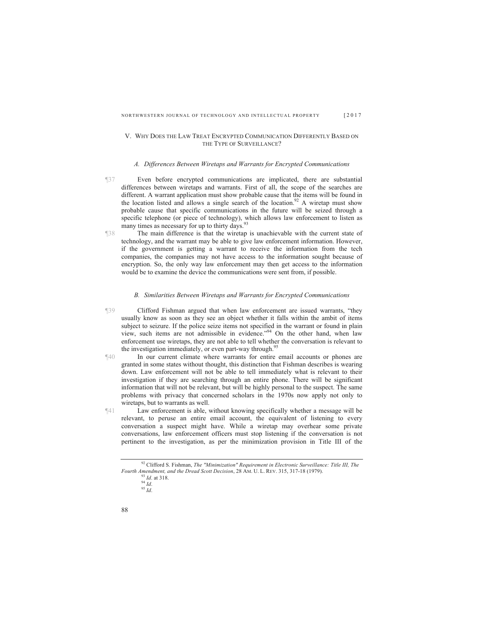#### V. WHY DOES THE LAW TREAT ENCRYPTED COMMUNICATION DIFFERENTLY BASED ON THE TYPE OF SURVEILLANCE?

#### *A. Differences Between Wiretaps and Warrants for Encrypted Communications*

- ¶37 Even before encrypted communications are implicated, there are substantial differences between wiretaps and warrants. First of all, the scope of the searches are different. A warrant application must show probable cause that the items will be found in the location listed and allows a single search of the location.<sup>92</sup> A wiretap must show probable cause that specific communications in the future will be seized through a specific telephone (or piece of technology), which allows law enforcement to listen as many times as necessary for up to thirty days. $9$
- ¶38 The main difference is that the wiretap is unachievable with the current state of technology, and the warrant may be able to give law enforcement information. However, if the government is getting a warrant to receive the information from the tech companies, the companies may not have access to the information sought because of encryption. So, the only way law enforcement may then get access to the information would be to examine the device the communications were sent from, if possible.

#### *B. Similarities Between Wiretaps and Warrants for Encrypted Communications*

- ¶39 Clifford Fishman argued that when law enforcement are issued warrants, "they usually know as soon as they see an object whether it falls within the ambit of items subject to seizure. If the police seize items not specified in the warrant or found in plain view, such items are not admissible in evidence."<sup>94</sup> On the other hand, when law enforcement use wiretaps, they are not able to tell whether the conversation is relevant to the investigation immediately, or even part-way through.<sup>9</sup>
- ¶40 In our current climate where warrants for entire email accounts or phones are granted in some states without thought, this distinction that Fishman describes is wearing down. Law enforcement will not be able to tell immediately what is relevant to their investigation if they are searching through an entire phone. There will be significant information that will not be relevant, but will be highly personal to the suspect. The same problems with privacy that concerned scholars in the 1970s now apply not only to wiretaps, but to warrants as well.
- ¶41 Law enforcement is able, without knowing specifically whether a message will be relevant, to peruse an entire email account, the equivalent of listening to every conversation a suspect might have. While a wiretap may overhear some private conversations, law enforcement officers must stop listening if the conversation is not pertinent to the investigation, as per the minimization provision in Title III of the

<sup>92</sup> Clifford S. Fishman, *The "Minimization" Requirement in Electronic Surveillance: Title III, The Fourth Amendment, and the Dread Scott Decision,* 28 AM. U. L. REV. 315, 317-18 (1979).<br><sup>93</sup> *Id.* at 318. <sup>94</sup> *Id.* 95 *Id*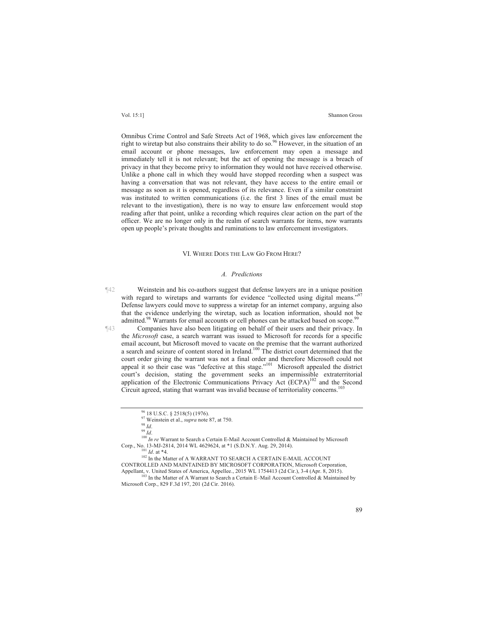Omnibus Crime Control and Safe Streets Act of 1968, which gives law enforcement the right to wiretap but also constrains their ability to do so.<sup>96</sup> However, in the situation of an email account or phone messages, law enforcement may open a message and immediately tell it is not relevant; but the act of opening the message is a breach of privacy in that they become privy to information they would not have received otherwise. Unlike a phone call in which they would have stopped recording when a suspect was having a conversation that was not relevant, they have access to the entire email or message as soon as it is opened, regardless of its relevance. Even if a similar constraint was instituted to written communications (i.e. the first 3 lines of the email must be relevant to the investigation), there is no way to ensure law enforcement would stop reading after that point, unlike a recording which requires clear action on the part of the officer. We are no longer only in the realm of search warrants for items, now warrants open up people's private thoughts and ruminations to law enforcement investigators.

#### VI. WHERE DOES THE LAW GO FROM HERE?

#### *A. Predictions*

¶42 Weinstein and his co-authors suggest that defense lawyers are in a unique position with regard to wiretaps and warrants for evidence "collected using digital means." Defense lawyers could move to suppress a wiretap for an internet company, arguing also that the evidence underlying the wiretap, such as location information, should not be admitted.<sup>98</sup> Warrants for email accounts or cell phones can be attacked based on scope.<sup>9</sup>

¶43 Companies have also been litigating on behalf of their users and their privacy. In the *Microsoft* case, a search warrant was issued to Microsoft for records for a specific email account, but Microsoft moved to vacate on the premise that the warrant authorized a search and seizure of content stored in Ireland.<sup>100</sup> The district court determined that the court order giving the warrant was not a final order and therefore Microsoft could not appeal it so their case was "defective at this stage."<sup>101</sup> Microsoft appealed the district court's decision, stating the government seeks an impermissible extraterritorial application of the Electronic Communications Privacy Act  $(ECPA)^{102}$  and the Second Circuit agreed, stating that warrant was invalid because of territoriality concerns.<sup>103</sup>

 $^{96}_{97}$  18 U.S.C. § 2518(5) (1976).<br><sup>97</sup> Weinstein et al., *supra* note 87, at 750.

<sup>98</sup> *Id.*<br><sup>99</sup> *Id.* 99 *Id.* 100 *In re* Warrant to Search a Certain E-Mail Account Controlled & Maintained by Microsoft Corp., No. 13-MJ-2814, 2014 WL 4629624, at \*1 (S.D.N.Y. Aug. 29, 2014). <sup>101</sup> *Id.* at \*4. <sup>102</sup> In the Matter of A WARRANT TO SEARCH A CERTAIN E-MAIL ACCOUNT

CONTROLLED AND MAINTAINED BY MICROSOFT CORPORATION, Microsoft Corporation,

 $103$  In the Matter of A Warrant to Search a Certain E–Mail Account Controlled & Maintained by Microsoft Corp., 829 F.3d 197, 201 (2d Cir. 2016).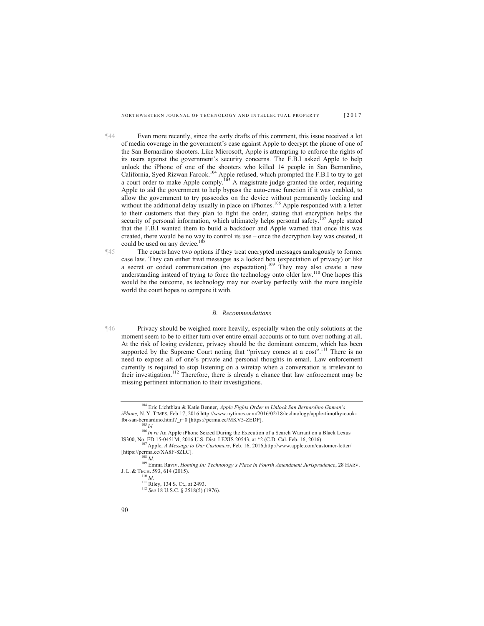¶44 Even more recently, since the early drafts of this comment, this issue received a lot of media coverage in the government's case against Apple to decrypt the phone of one of the San Bernardino shooters. Like Microsoft, Apple is attempting to enforce the rights of its users against the government's security concerns. The F.B.I asked Apple to help unlock the iPhone of one of the shooters who killed 14 people in San Bernardino, California, Syed Rizwan Farook.<sup>104</sup> Apple refused, which prompted the F.B.I to try to get a court order to make Apple comply.<sup>105</sup> A magistrate judge granted the order, requiring Apple to aid the government to help bypass the auto-erase function if it was enabled, to allow the government to try passcodes on the device without permanently locking and without the additional delay usually in place on iPhones.<sup>106</sup> Apple responded with a letter to their customers that they plan to fight the order, stating that encryption helps the security of personal information, which ultimately helps personal safety.<sup>107</sup> Apple stated that the F.B.I wanted them to build a backdoor and Apple warned that once this was created, there would be no way to control its use – once the decryption key was created, it could be used on any device.<sup>108</sup>

¶45 The courts have two options if they treat encrypted messages analogously to former case law. They can either treat messages as a locked box (expectation of privacy) or like a secret or coded communication (no expectation).<sup>109</sup> They may also create a new understanding instead of trying to force the technology onto older law.<sup>110</sup> One hopes this would be the outcome, as technology may not overlay perfectly with the more tangible world the court hopes to compare it with.

#### *B. Recommendations*

¶46 Privacy should be weighed more heavily, especially when the only solutions at the moment seem to be to either turn over entire email accounts or to turn over nothing at all. At the risk of losing evidence, privacy should be the dominant concern, which has been supported by the Supreme Court noting that "privacy comes at a cost".<sup>111</sup> There is no need to expose all of one's private and personal thoughts in email. Law enforcement currently is required to stop listening on a wiretap when a conversation is irrelevant to their investigation.<sup>112</sup> Therefore, there is already a chance that law enforcement may be missing pertinent information to their investigations.

<sup>104</sup> Eric Lichtblau & Katie Benner, *Apple Fights Order to Unlock San Bernardino Gnman's iPhone,* N. Y. TIMES, Feb 17, 2016 http://www.nytimes.com/2016/02/18/technology/apple-timothy-cookfbi-san-bernardino.html?\_r=0 [https://perma.cc/MKV5-ZEDP]. 105 *Id.* <sup>106</sup>*In re* An Apple iPhone Seized During the Execution of a Search Warrant on a Black Lexus

IS300, No. ED 15-0451M, 2016 U.S. Dist. LEXIS 20543, at \*2 (C.D. Cal. Feb. 16, 2016) 107 Apple, *A Message to Our Customers*, Feb. 16, 2016,http://www.apple.com/customer-letter/

<sup>[</sup>https://perma.cc/XA8F-8ZLC]. 108 *Id*. 109 Emma Raviv, *Homing In: Technology's Place in Fourth Amendment Jurisprudence*, 28 HARV.

<sup>110</sup> *Id.*<br><sup>111</sup> Riley, 134 S. Ct., at 2493.<br><sup>112</sup> *See* 18 U.S.C. § 2518(5) (1976).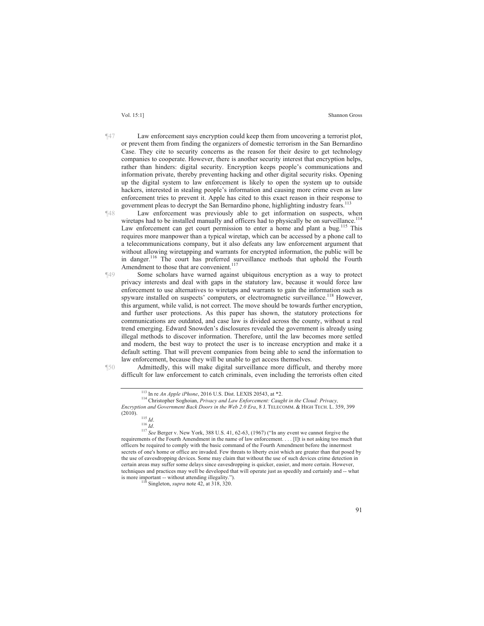- ¶47 Law enforcement says encryption could keep them from uncovering a terrorist plot, or prevent them from finding the organizers of domestic terrorism in the San Bernardino Case. They cite to security concerns as the reason for their desire to get technology companies to cooperate. However, there is another security interest that encryption helps, rather than hinders: digital security. Encryption keeps people's communications and information private, thereby preventing hacking and other digital security risks. Opening up the digital system to law enforcement is likely to open the system up to outside hackers, interested in stealing people's information and causing more crime even as law enforcement tries to prevent it. Apple has cited to this exact reason in their response to government pleas to decrypt the San Bernardino phone, highlighting industry fears.<sup>1</sup>
- ¶48 Law enforcement was previously able to get information on suspects, when wiretaps had to be installed manually and officers had to physically be on surveillance.<sup>114</sup> Law enforcement can get court permission to enter a home and plant a bug.<sup>115</sup> This requires more manpower than a typical wiretap, which can be accessed by a phone call to a telecommunications company, but it also defeats any law enforcement argument that without allowing wiretapping and warrants for encrypted information, the public will be in danger.<sup>116</sup> The court has preferred surveillance methods that uphold the Fourth Amendment to those that are convenient.<sup>117</sup>
- ¶49 Some scholars have warned against ubiquitous encryption as a way to protect privacy interests and deal with gaps in the statutory law, because it would force law enforcement to use alternatives to wiretaps and warrants to gain the information such as spyware installed on suspects' computers, or electromagnetic surveillance.<sup>118</sup> However, this argument, while valid, is not correct. The move should be towards further encryption, and further user protections. As this paper has shown, the statutory protections for communications are outdated, and case law is divided across the county, without a real trend emerging. Edward Snowden's disclosures revealed the government is already using illegal methods to discover information. Therefore, until the law becomes more settled and modern, the best way to protect the user is to increase encryption and make it a default setting. That will prevent companies from being able to send the information to law enforcement, because they will be unable to get access themselves.

¶50 Admittedly, this will make digital surveillance more difficult, and thereby more difficult for law enforcement to catch criminals, even including the terrorists often cited

<sup>113</sup> In re *An Apple iPhone*, 2016 U.S. Dist. LEXIS 20543, at \*2. 114 Christopher Soghoian, *Privacy and Law Enforcement: Caught in the Cloud: Privacy, Encryption and Government Back Doors in the Web 2.0 Era*, 8 J. TELECOMM. & HIGH TECH. L. 359, 399 (2010).

<sup>&</sup>lt;sup>115</sup> *Id.* 116 *Id.* 116 *Id.* 116 *Id.* 116 *Id.* 116 *Id.* 117 *See* Berger v. New York, 388 U.S. 41, 62-63, (1967) ("In any event we cannot forgive the requirements of the Fourth Amendment in the name of law enforcement. . . . [I]t is not asking too much that officers be required to comply with the basic command of the Fourth Amendment before the innermost secrets of one's home or office are invaded. Few threats to liberty exist which are greater than that posed by the use of eavesdropping devices. Some may claim that without the use of such devices crime detection in certain areas may suffer some delays since eavesdropping is quicker, easier, and more certain. However,

techniques and practices may well be developed that will operate just as speedily and certainly and -- what is more important -- without attending illegality."). 118 Singleton, *supra* note 42, at 318, 320.